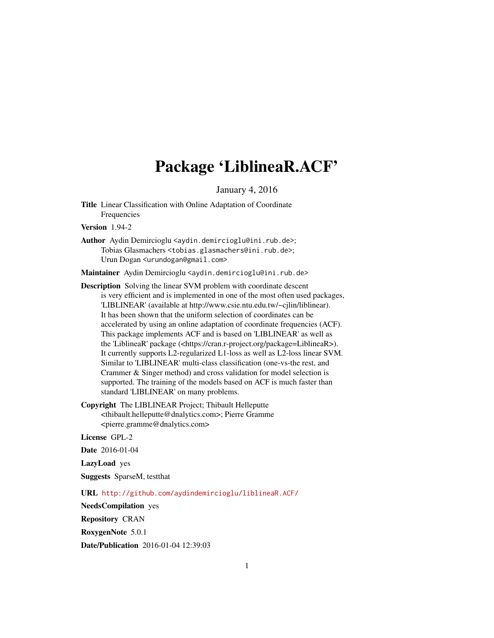## Package 'LiblineaR.ACF'

January 4, 2016

<span id="page-0-0"></span>Title Linear Classification with Online Adaptation of Coordinate Frequencies

Version 1.94-2

Author Aydin Demircioglu <aydin.demircioglu@ini.rub.de>; Tobias Glasmachers <tobias.glasmachers@ini.rub.de>; Urun Dogan <urundogan@gmail.com>

Maintainer Aydin Demircioglu <aydin.demircioglu@ini.rub.de>

Description Solving the linear SVM problem with coordinate descent is very efficient and is implemented in one of the most often used packages, 'LIBLINEAR' (available at http://www.csie.ntu.edu.tw/~cjlin/liblinear). It has been shown that the uniform selection of coordinates can be accelerated by using an online adaptation of coordinate frequencies (ACF). This package implements ACF and is based on 'LIBLINEAR' as well as the 'LiblineaR' package (<https://cran.r-project.org/package=LiblineaR>). It currently supports L2-regularized L1-loss as well as L2-loss linear SVM. Similar to 'LIBLINEAR' multi-class classification (one-vs-the rest, and Crammer & Singer method) and cross validation for model selection is supported. The training of the models based on ACF is much faster than standard 'LIBLINEAR' on many problems.

Copyright The LIBLINEAR Project; Thibault Helleputte <thibault.helleputte@dnalytics.com>; Pierre Gramme <pierre.gramme@dnalytics.com>

License GPL-2

Date 2016-01-04

LazyLoad yes

Suggests SparseM, testthat

URL <http://github.com/aydindemircioglu/liblineaR.ACF/>

NeedsCompilation yes

Repository CRAN

RoxygenNote 5.0.1

Date/Publication 2016-01-04 12:39:03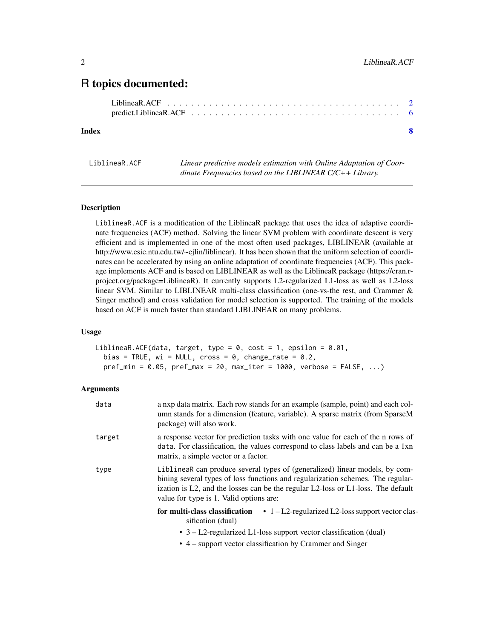### <span id="page-1-0"></span>R topics documented:

#### **Index** [8](#page-7-0) **8**

<span id="page-1-1"></span>LiblineaR.ACF *Linear predictive models estimation with Online Adaptation of Coordinate Frequencies based on the LIBLINEAR C/C++ Library.*

#### Description

LiblineaR.ACF is a modification of the LiblineaR package that uses the idea of adaptive coordinate frequencies (ACF) method. Solving the linear SVM problem with coordinate descent is very efficient and is implemented in one of the most often used packages, LIBLINEAR (available at http://www.csie.ntu.edu.tw/~cjlin/liblinear). It has been shown that the uniform selection of coordinates can be accelerated by using an online adaptation of coordinate frequencies (ACF). This package implements ACF and is based on LIBLINEAR as well as the LiblineaR package (https://cran.rproject.org/package=LiblineaR). It currently supports L2-regularized L1-loss as well as L2-loss linear SVM. Similar to LIBLINEAR multi-class classification (one-vs-the rest, and Crammer & Singer method) and cross validation for model selection is supported. The training of the models based on ACF is much faster than standard LIBLINEAR on many problems.

#### Usage

LiblineaR.ACF(data, target, type =  $0$ , cost = 1, epsilon =  $0.01$ , bias = TRUE, wi = NULL, cross =  $\theta$ , change\_rate =  $\theta$ .2,  $pref\_min = 0.05$ ,  $pref\_max = 20$ ,  $max\_iter = 1000$ ,  $verbose = FALSE, ...)$ 

#### Arguments

| data   | a nxp data matrix. Each row stands for an example (sample, point) and each col-<br>umn stands for a dimension (feature, variable). A sparse matrix (from SparseM<br>package) will also work.                                                                                                  |
|--------|-----------------------------------------------------------------------------------------------------------------------------------------------------------------------------------------------------------------------------------------------------------------------------------------------|
| target | a response vector for prediction tasks with one value for each of the n rows of<br>data. For classification, the values correspond to class labels and can be a 1xn<br>matrix, a simple vector or a factor.                                                                                   |
| type   | LiblineaR can produce several types of (generalized) linear models, by com-<br>bining several types of loss functions and regularization schemes. The regular-<br>ization is L2, and the losses can be the regular L2-loss or L1-loss. The default<br>value for type is 1. Valid options are: |
|        | for multi-class classification<br>• $1 - L2$ -regularized L2-loss support vector clas-<br>sification (dual)                                                                                                                                                                                   |
|        | • $3 - L2$ -regularized L1-loss support vector classification (dual)                                                                                                                                                                                                                          |

• 4 – support vector classification by Crammer and Singer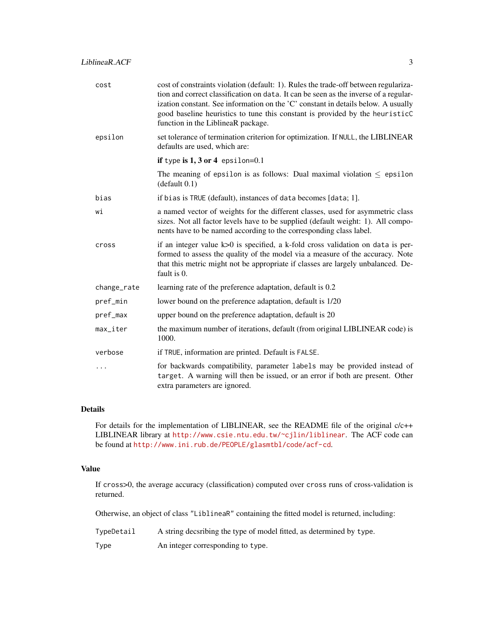| cost        | cost of constraints violation (default: 1). Rules the trade-off between regulariza-<br>tion and correct classification on data. It can be seen as the inverse of a regular-<br>ization constant. See information on the 'C' constant in details below. A usually<br>good baseline heuristics to tune this constant is provided by the heuristicC<br>function in the LiblineaR package. |
|-------------|----------------------------------------------------------------------------------------------------------------------------------------------------------------------------------------------------------------------------------------------------------------------------------------------------------------------------------------------------------------------------------------|
| epsilon     | set tolerance of termination criterion for optimization. If NULL, the LIBLINEAR<br>defaults are used, which are:                                                                                                                                                                                                                                                                       |
|             | if type is $1, 3$ or 4 epsilon=0.1                                                                                                                                                                                                                                                                                                                                                     |
|             | The meaning of epsilon is as follows: Dual maximal violation $\leq$ epsilon<br>(default 0.1)                                                                                                                                                                                                                                                                                           |
| bias        | if bias is TRUE (default), instances of data becomes [data; 1].                                                                                                                                                                                                                                                                                                                        |
| wi          | a named vector of weights for the different classes, used for asymmetric class<br>sizes. Not all factor levels have to be supplied (default weight: 1). All compo-<br>nents have to be named according to the corresponding class label.                                                                                                                                               |
| cross       | if an integer value $k>0$ is specified, a k-fold cross validation on data is per-<br>formed to assess the quality of the model via a measure of the accuracy. Note<br>that this metric might not be appropriate if classes are largely unbalanced. De-<br>fault is 0.                                                                                                                  |
| change_rate | learning rate of the preference adaptation, default is 0.2                                                                                                                                                                                                                                                                                                                             |
| pref_min    | lower bound on the preference adaptation, default is 1/20                                                                                                                                                                                                                                                                                                                              |
| pref_max    | upper bound on the preference adaptation, default is 20                                                                                                                                                                                                                                                                                                                                |
| max_iter    | the maximum number of iterations, default (from original LIBLINEAR code) is<br>1000.                                                                                                                                                                                                                                                                                                   |
| verbose     | if TRUE, information are printed. Default is FALSE.                                                                                                                                                                                                                                                                                                                                    |
| $\cdots$    | for backwards compatibility, parameter labels may be provided instead of<br>target. A warning will then be issued, or an error if both are present. Other<br>extra parameters are ignored.                                                                                                                                                                                             |

#### Details

For details for the implementation of LIBLINEAR, see the README file of the original c/c++ LIBLINEAR library at <http://www.csie.ntu.edu.tw/~cjlin/liblinear>. The ACF code can be found at <http://www.ini.rub.de/PEOPLE/glasmtbl/code/acf-cd>.

#### Value

If cross>0, the average accuracy (classification) computed over cross runs of cross-validation is returned.

Otherwise, an object of class "LiblineaR" containing the fitted model is returned, including:

TypeDetail A string decsribing the type of model fitted, as determined by type.

Type **An** integer corresponding to type.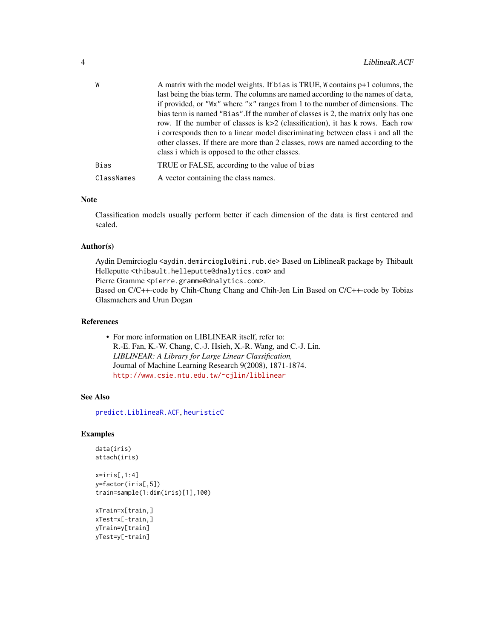<span id="page-3-0"></span>

| W          | A matrix with the model weights. If bias is TRUE, W contains p+1 columns, the     |
|------------|-----------------------------------------------------------------------------------|
|            | last being the bias term. The columns are named according to the names of data,   |
|            | if provided, or "Wx" where "x" ranges from 1 to the number of dimensions. The     |
|            | bias term is named "Bias". If the number of classes is 2, the matrix only has one |
|            | row. If the number of classes is $k>2$ (classification), it has k rows. Each row  |
|            | i corresponds then to a linear model discriminating between class i and all the   |
|            | other classes. If there are more than 2 classes, rows are named according to the  |
|            | class i which is opposed to the other classes.                                    |
| Bias       | TRUE or FALSE, according to the value of bias                                     |
| ClassNames | A vector containing the class names.                                              |

#### Note

Classification models usually perform better if each dimension of the data is first centered and scaled.

#### Author(s)

Aydin Demircioglu <aydin.demircioglu@ini.rub.de> Based on LiblineaR package by Thibault Helleputte <thibault.helleputte@dnalytics.com> and Pierre Gramme <pierre.gramme@dnalytics.com>. Based on C/C++-code by Chih-Chung Chang and Chih-Jen Lin Based on C/C++-code by Tobias Glasmachers and Urun Dogan

#### References

• For more information on LIBLINEAR itself, refer to: R.-E. Fan, K.-W. Chang, C.-J. Hsieh, X.-R. Wang, and C.-J. Lin. *LIBLINEAR: A Library for Large Linear Classification,* Journal of Machine Learning Research 9(2008), 1871-1874. <http://www.csie.ntu.edu.tw/~cjlin/liblinear>

#### See Also

[predict.LiblineaR.ACF](#page-5-1), [heuristicC](#page-0-0)

#### Examples

```
data(iris)
attach(iris)
x=iris[,1:4]
```

```
y=factor(iris[,5])
train=sample(1:dim(iris)[1],100)
```

```
xTrain=x[train,]
xTest=x[-train,]
yTrain=y[train]
yTest=y[-train]
```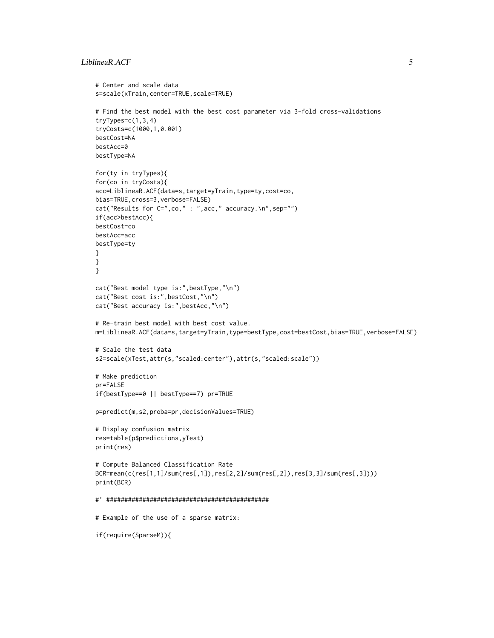#### LiblineaR.ACF 5

```
# Center and scale data
s=scale(xTrain,center=TRUE,scale=TRUE)
# Find the best model with the best cost parameter via 3-fold cross-validations
tryTypes=c(1,3,4)
tryCosts=c(1000,1,0.001)
bestCost=NA
bestAcc=0
bestType=NA
for(ty in tryTypes){
for(co in tryCosts){
acc=LiblineaR.ACF(data=s,target=yTrain,type=ty,cost=co,
bias=TRUE,cross=3,verbose=FALSE)
cat("Results for C=",co," : ",acc," accuracy.\n",sep="")
if(acc>bestAcc){
bestCost=co
bestAcc=acc
bestType=ty
}
}
}
cat("Best model type is:",bestType,"\n")
cat("Best cost is:",bestCost,"\n")
cat("Best accuracy is:",bestAcc,"\n")
# Re-train best model with best cost value.
m=LiblineaR.ACF(data=s,target=yTrain,type=bestType,cost=bestCost,bias=TRUE,verbose=FALSE)
# Scale the test data
s2=scale(xTest,attr(s,"scaled:center"),attr(s,"scaled:scale"))
# Make prediction
pr=FALSE
if(bestType==0 || bestType==7) pr=TRUE
p=predict(m,s2,proba=pr,decisionValues=TRUE)
# Display confusion matrix
res=table(p$predictions,yTest)
print(res)
# Compute Balanced Classification Rate
BCR=mean(c(res[1,1]/sum(res[,1]),res[2,2]/sum(res[,2]),res[3,3]/sum(res[,3])))
print(BCR)
#' #############################################
# Example of the use of a sparse matrix:
```
if(require(SparseM)){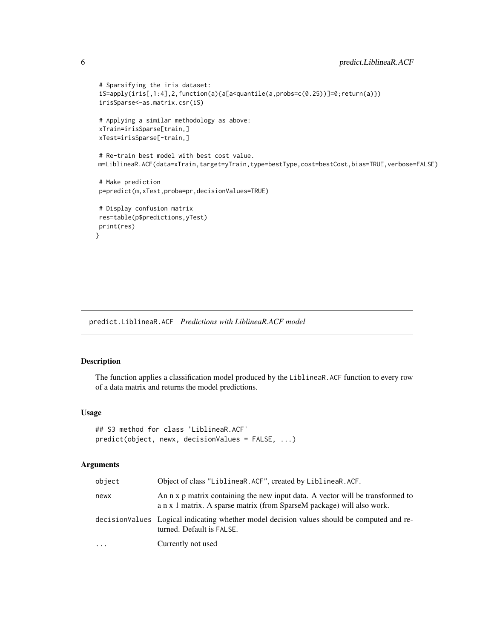```
# Sparsifying the iris dataset:
iS=apply(iris[,1:4],2,function(a){a[a<quantile(a,probs=c(0.25))]=0;return(a)})
irisSparse<-as.matrix.csr(iS)
# Applying a similar methodology as above:
xTrain=irisSparse[train,]
xTest=irisSparse[-train,]
# Re-train best model with best cost value.
m=LiblineaR.ACF(data=xTrain,target=yTrain,type=bestType,cost=bestCost,bias=TRUE,verbose=FALSE)
# Make prediction
p=predict(m,xTest,proba=pr,decisionValues=TRUE)
# Display confusion matrix
res=table(p$predictions,yTest)
print(res)
```
#### }

<span id="page-5-1"></span>predict.LiblineaR.ACF *Predictions with LiblineaR.ACF model*

#### Description

The function applies a classification model produced by the LiblineaR.ACF function to every row of a data matrix and returns the model predictions.

#### Usage

```
## S3 method for class 'LiblineaR.ACF'
predict(object, newx, decisionValues = FALSE, ...)
```
#### Arguments

| object | Object of class "LiblineaR.ACF", created by LiblineaR.ACF.                                                                                               |
|--------|----------------------------------------------------------------------------------------------------------------------------------------------------------|
| newx   | An n x p matrix containing the new input data. A vector will be transformed to<br>a n x 1 matrix. A sparse matrix (from SparseM package) will also work. |
|        | decisionValues Logical indicating whether model decision values should be computed and re-<br>turned. Default is FALSE.                                  |
| .      | Currently not used                                                                                                                                       |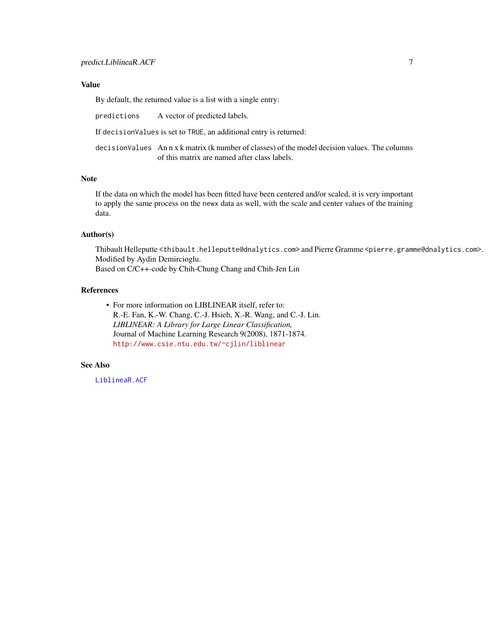#### <span id="page-6-0"></span>Value

By default, the returned value is a list with a single entry:

predictions A vector of predicted labels.

If decisionValues is set to TRUE, an additional entry is returned:

decisionValues An n x k matrix (k number of classes) of the model decision values. The columns of this matrix are named after class labels.

#### Note

If the data on which the model has been fitted have been centered and/or scaled, it is very important to apply the same process on the newx data as well, with the scale and center values of the training data.

#### Author(s)

Thibault Helleputte <thibault.helleputte@dnalytics.com> and Pierre Gramme <pierre.gramme@dnalytics.com>. Modified by Aydin Demircioglu.

Based on C/C++-code by Chih-Chung Chang and Chih-Jen Lin

#### References

• For more information on LIBLINEAR itself, refer to: R.-E. Fan, K.-W. Chang, C.-J. Hsieh, X.-R. Wang, and C.-J. Lin. *LIBLINEAR: A Library for Large Linear Classification,* Journal of Machine Learning Research 9(2008), 1871-1874. <http://www.csie.ntu.edu.tw/~cjlin/liblinear>

#### See Also

[LiblineaR.ACF](#page-1-1)